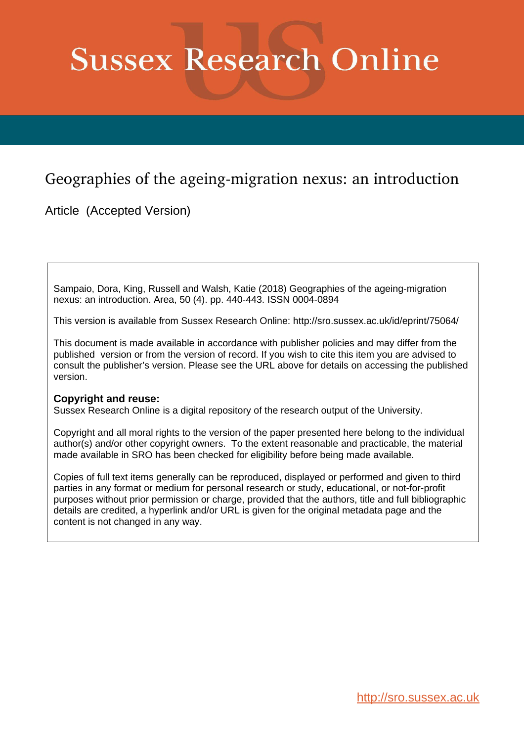# **Sussex Research Online**

## Geographies of the ageing-migration nexus: an introduction

Article (Accepted Version)

Sampaio, Dora, King, Russell and Walsh, Katie (2018) Geographies of the ageing-migration nexus: an introduction. Area, 50 (4). pp. 440-443. ISSN 0004-0894

This version is available from Sussex Research Online: http://sro.sussex.ac.uk/id/eprint/75064/

This document is made available in accordance with publisher policies and may differ from the published version or from the version of record. If you wish to cite this item you are advised to consult the publisher's version. Please see the URL above for details on accessing the published version.

### **Copyright and reuse:**

Sussex Research Online is a digital repository of the research output of the University.

Copyright and all moral rights to the version of the paper presented here belong to the individual author(s) and/or other copyright owners. To the extent reasonable and practicable, the material made available in SRO has been checked for eligibility before being made available.

Copies of full text items generally can be reproduced, displayed or performed and given to third parties in any format or medium for personal research or study, educational, or not-for-profit purposes without prior permission or charge, provided that the authors, title and full bibliographic details are credited, a hyperlink and/or URL is given for the original metadata page and the content is not changed in any way.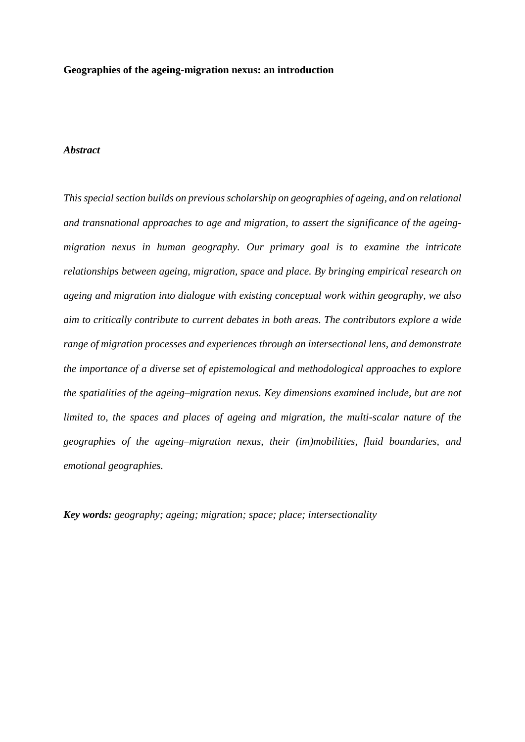#### **Geographies of the ageing-migration nexus: an introduction**

#### *Abstract*

*This special section builds on previous scholarship on geographies of ageing, and on relational and transnational approaches to age and migration, to assert the significance of the ageingmigration nexus in human geography. Our primary goal is to examine the intricate relationships between ageing, migration, space and place. By bringing empirical research on ageing and migration into dialogue with existing conceptual work within geography, we also aim to critically contribute to current debates in both areas. The contributors explore a wide range of migration processes and experiences through an intersectional lens, and demonstrate the importance of a diverse set of epistemological and methodological approaches to explore the spatialities of the ageing–migration nexus. Key dimensions examined include, but are not limited to, the spaces and places of ageing and migration, the multi-scalar nature of the geographies of the ageing–migration nexus, their (im)mobilities, fluid boundaries, and emotional geographies.* 

*Key words: geography; ageing; migration; space; place; intersectionality*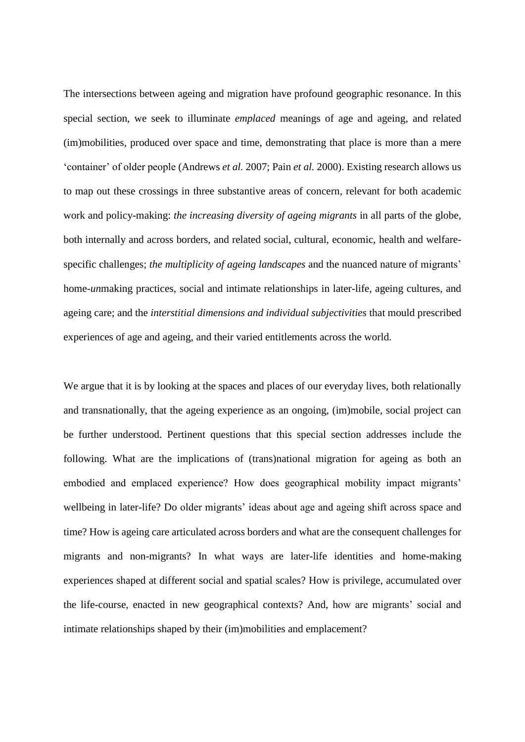The intersections between ageing and migration have profound geographic resonance. In this special section, we seek to illuminate *emplaced* meanings of age and ageing, and related (im)mobilities, produced over space and time, demonstrating that place is more than a mere 'container' of older people (Andrews *et al.* 2007; Pain *et al.* 2000). Existing research allows us to map out these crossings in three substantive areas of concern, relevant for both academic work and policy-making: *the increasing diversity of ageing migrants* in all parts of the globe, both internally and across borders, and related social, cultural, economic, health and welfarespecific challenges; *the multiplicity of ageing landscapes* and the nuanced nature of migrants' home-*un*making practices, social and intimate relationships in later-life, ageing cultures, and ageing care; and the *interstitial dimensions and individual subjectivities* that mould prescribed experiences of age and ageing, and their varied entitlements across the world.

We argue that it is by looking at the spaces and places of our everyday lives, both relationally and transnationally, that the ageing experience as an ongoing, (im)mobile, social project can be further understood. Pertinent questions that this special section addresses include the following. What are the implications of (trans)national migration for ageing as both an embodied and emplaced experience? How does geographical mobility impact migrants' wellbeing in later-life? Do older migrants' ideas about age and ageing shift across space and time? How is ageing care articulated across borders and what are the consequent challenges for migrants and non-migrants? In what ways are later-life identities and home-making experiences shaped at different social and spatial scales? How is privilege, accumulated over the life-course, enacted in new geographical contexts? And, how are migrants' social and intimate relationships shaped by their (im)mobilities and emplacement?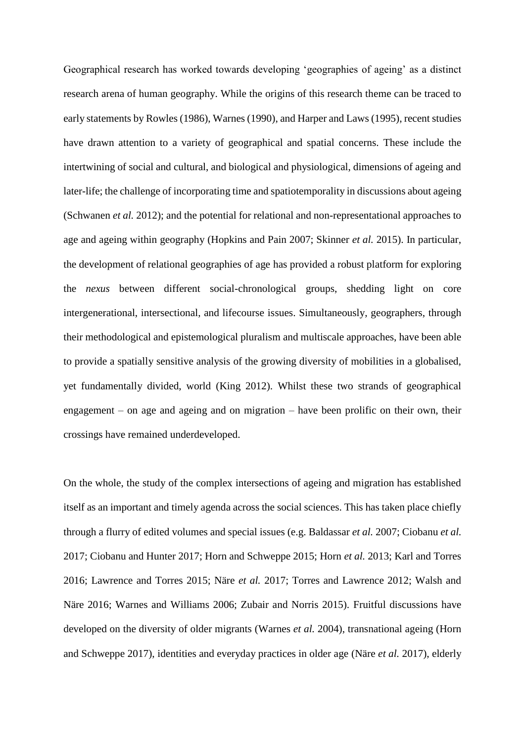Geographical research has worked towards developing 'geographies of ageing' as a distinct research arena of human geography. While the origins of this research theme can be traced to early statements by Rowles (1986), Warnes (1990), and Harper and Laws (1995), recent studies have drawn attention to a variety of geographical and spatial concerns. These include the intertwining of social and cultural, and biological and physiological, dimensions of ageing and later-life; the challenge of incorporating time and spatiotemporality in discussions about ageing (Schwanen *et al.* 2012); and the potential for relational and non-representational approaches to age and ageing within geography (Hopkins and Pain 2007; Skinner *et al.* 2015). In particular, the development of relational geographies of age has provided a robust platform for exploring the *nexus* between different social-chronological groups, shedding light on core intergenerational, intersectional, and lifecourse issues. Simultaneously, geographers, through their methodological and epistemological pluralism and multiscale approaches, have been able to provide a spatially sensitive analysis of the growing diversity of mobilities in a globalised, yet fundamentally divided, world (King 2012). Whilst these two strands of geographical engagement – on age and ageing and on migration – have been prolific on their own, their crossings have remained underdeveloped.

On the whole, the study of the complex intersections of ageing and migration has established itself as an important and timely agenda across the social sciences. This has taken place chiefly through a flurry of edited volumes and special issues (e.g. Baldassar *et al.* 2007; Ciobanu *et al.* 2017; Ciobanu and Hunter 2017; Horn and Schweppe 2015; Horn *et al.* 2013; Karl and Torres 2016; Lawrence and Torres 2015; Näre *et al.* 2017; Torres and Lawrence 2012; Walsh and Näre 2016; Warnes and Williams 2006; Zubair and Norris 2015). Fruitful discussions have developed on the diversity of older migrants (Warnes *et al.* 2004), transnational ageing (Horn and Schweppe 2017), identities and everyday practices in older age (Näre *et al.* 2017), elderly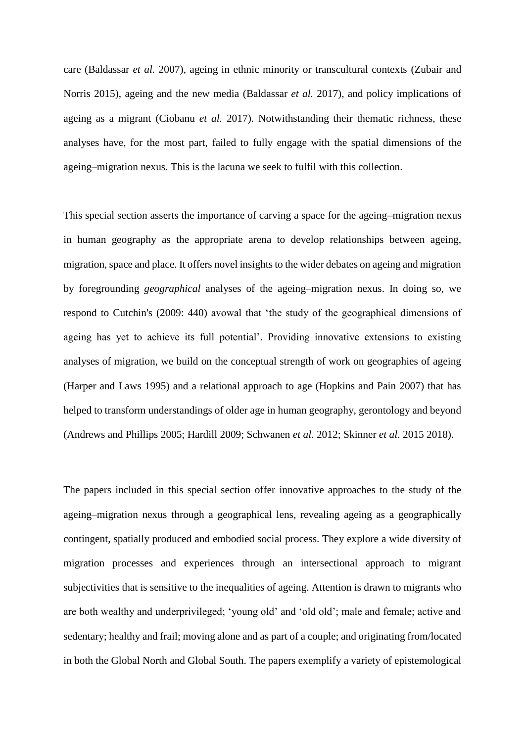care (Baldassar *et al.* 2007), ageing in ethnic minority or transcultural contexts (Zubair and Norris 2015), ageing and the new media (Baldassar *et al.* 2017), and policy implications of ageing as a migrant (Ciobanu *et al.* 2017). Notwithstanding their thematic richness, these analyses have, for the most part, failed to fully engage with the spatial dimensions of the ageing–migration nexus. This is the lacuna we seek to fulfil with this collection.

This special section asserts the importance of carving a space for the ageing–migration nexus in human geography as the appropriate arena to develop relationships between ageing, migration, space and place. It offers novel insights to the wider debates on ageing and migration by foregrounding *geographical* analyses of the ageing–migration nexus. In doing so, we respond to Cutchin's (2009: 440) avowal that 'the study of the geographical dimensions of ageing has yet to achieve its full potential'. Providing innovative extensions to existing analyses of migration, we build on the conceptual strength of work on geographies of ageing (Harper and Laws 1995) and a relational approach to age (Hopkins and Pain 2007) that has helped to transform understandings of older age in human geography, gerontology and beyond (Andrews and Phillips 2005; Hardill 2009; Schwanen *et al.* 2012; Skinner *et al.* 2015 2018).

The papers included in this special section offer innovative approaches to the study of the ageing–migration nexus through a geographical lens, revealing ageing as a geographically contingent, spatially produced and embodied social process. They explore a wide diversity of migration processes and experiences through an intersectional approach to migrant subjectivities that is sensitive to the inequalities of ageing. Attention is drawn to migrants who are both wealthy and underprivileged; 'young old' and 'old old'; male and female; active and sedentary; healthy and frail; moving alone and as part of a couple; and originating from/located in both the Global North and Global South. The papers exemplify a variety of epistemological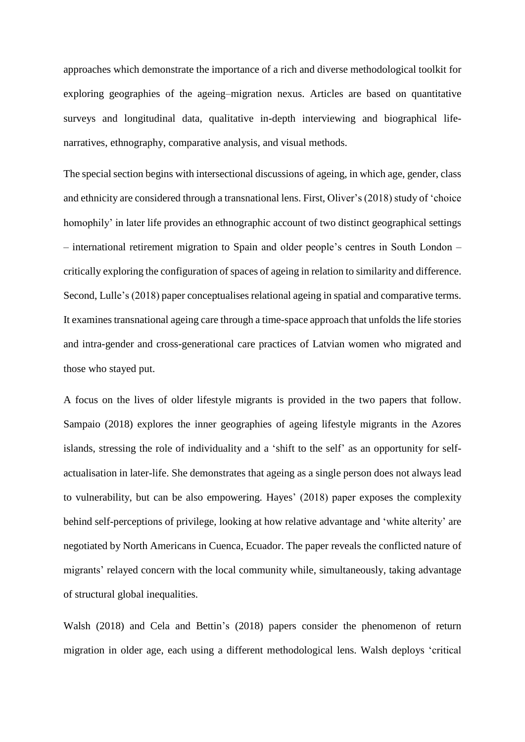approaches which demonstrate the importance of a rich and diverse methodological toolkit for exploring geographies of the ageing–migration nexus. Articles are based on quantitative surveys and longitudinal data, qualitative in-depth interviewing and biographical lifenarratives, ethnography, comparative analysis, and visual methods.

The special section begins with intersectional discussions of ageing, in which age, gender, class and ethnicity are considered through a transnational lens. First, Oliver's (2018) study of 'choice homophily' in later life provides an ethnographic account of two distinct geographical settings – international retirement migration to Spain and older people's centres in South London – critically exploring the configuration of spaces of ageing in relation to similarity and difference. Second, Lulle's (2018) paper conceptualises relational ageing in spatial and comparative terms. It examines transnational ageing care through a time-space approach that unfolds the life stories and intra-gender and cross-generational care practices of Latvian women who migrated and those who stayed put.

A focus on the lives of older lifestyle migrants is provided in the two papers that follow. Sampaio (2018) explores the inner geographies of ageing lifestyle migrants in the Azores islands, stressing the role of individuality and a 'shift to the self' as an opportunity for selfactualisation in later-life. She demonstrates that ageing as a single person does not always lead to vulnerability, but can be also empowering. Hayes' (2018) paper exposes the complexity behind self-perceptions of privilege, looking at how relative advantage and 'white alterity' are negotiated by North Americans in Cuenca, Ecuador. The paper reveals the conflicted nature of migrants' relayed concern with the local community while, simultaneously, taking advantage of structural global inequalities.

Walsh (2018) and Cela and Bettin's (2018) papers consider the phenomenon of return migration in older age, each using a different methodological lens. Walsh deploys 'critical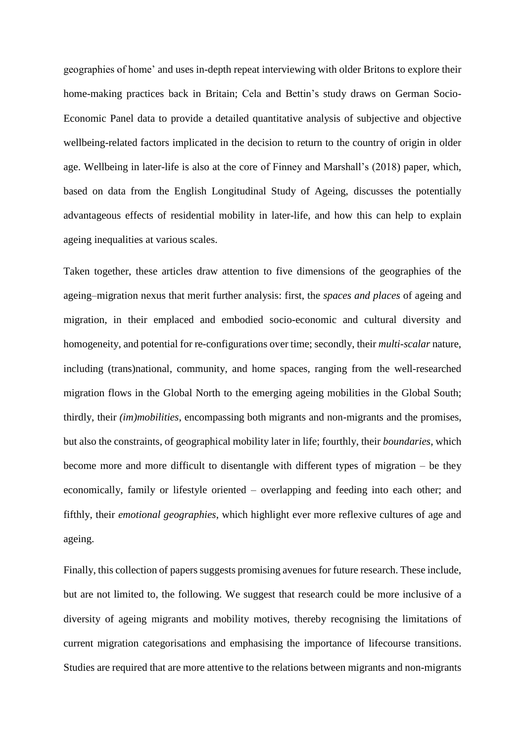geographies of home' and uses in-depth repeat interviewing with older Britons to explore their home-making practices back in Britain; Cela and Bettin's study draws on German Socio-Economic Panel data to provide a detailed quantitative analysis of subjective and objective wellbeing-related factors implicated in the decision to return to the country of origin in older age. Wellbeing in later-life is also at the core of Finney and Marshall's (2018) paper, which, based on data from the English Longitudinal Study of Ageing, discusses the potentially advantageous effects of residential mobility in later-life, and how this can help to explain ageing inequalities at various scales.

Taken together, these articles draw attention to five dimensions of the geographies of the ageing–migration nexus that merit further analysis: first, the *spaces and places* of ageing and migration, in their emplaced and embodied socio-economic and cultural diversity and homogeneity, and potential for re-configurations over time; secondly, their *multi-scalar* nature, including (trans)national, community, and home spaces, ranging from the well-researched migration flows in the Global North to the emerging ageing mobilities in the Global South; thirdly, their *(im)mobilities*, encompassing both migrants and non-migrants and the promises, but also the constraints, of geographical mobility later in life; fourthly, their *boundaries*, which become more and more difficult to disentangle with different types of migration – be they economically, family or lifestyle oriented – overlapping and feeding into each other; and fifthly, their *emotional geographies*, which highlight ever more reflexive cultures of age and ageing.

Finally, this collection of papers suggests promising avenues for future research. These include, but are not limited to, the following. We suggest that research could be more inclusive of a diversity of ageing migrants and mobility motives, thereby recognising the limitations of current migration categorisations and emphasising the importance of lifecourse transitions. Studies are required that are more attentive to the relations between migrants and non-migrants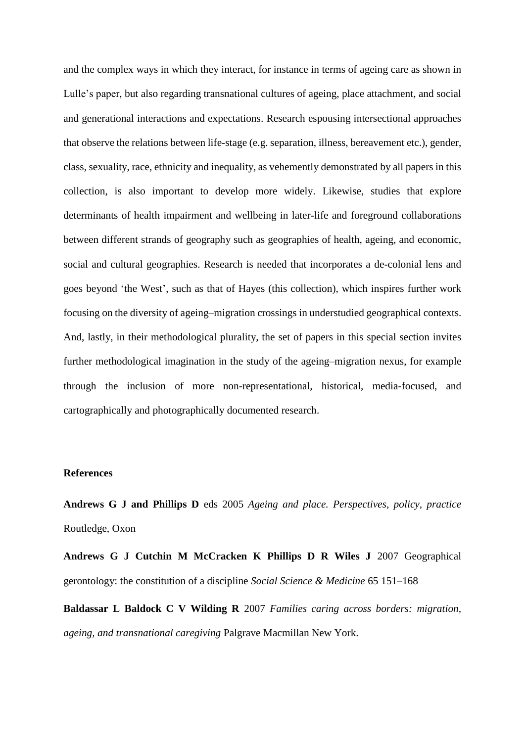and the complex ways in which they interact, for instance in terms of ageing care as shown in Lulle's paper, but also regarding transnational cultures of ageing, place attachment, and social and generational interactions and expectations. Research espousing intersectional approaches that observe the relations between life-stage (e.g. separation, illness, bereavement etc.), gender, class, sexuality, race, ethnicity and inequality, as vehemently demonstrated by all papers in this collection, is also important to develop more widely. Likewise, studies that explore determinants of health impairment and wellbeing in later-life and foreground collaborations between different strands of geography such as geographies of health, ageing, and economic, social and cultural geographies. Research is needed that incorporates a de-colonial lens and goes beyond 'the West', such as that of Hayes (this collection), which inspires further work focusing on the diversity of ageing–migration crossings in understudied geographical contexts. And, lastly, in their methodological plurality, the set of papers in this special section invites further methodological imagination in the study of the ageing–migration nexus, for example through the inclusion of more non-representational, historical, media-focused, and cartographically and photographically documented research.

#### **References**

**Andrews G J and Phillips D** eds 2005 *Ageing and place. Perspectives, policy, practice* Routledge, Oxon

**Andrews G J Cutchin M McCracken K Phillips D R Wiles J** 2007 Geographical gerontology: the constitution of a discipline *Social Science & Medicine* 65 151–168

**Baldassar L Baldock C V Wilding R** 2007 *Families caring across borders: migration, ageing, and transnational caregiving* Palgrave Macmillan New York.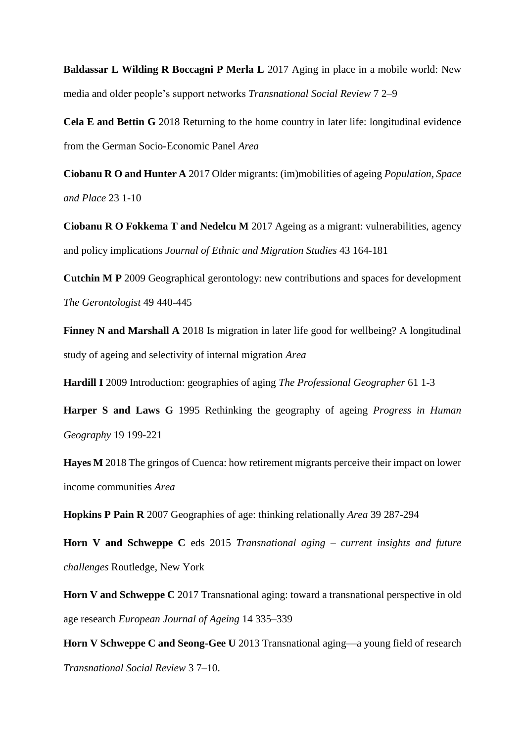**Baldassar L Wilding R Boccagni P Merla L** 2017 Aging in place in a mobile world: New media and older people's support networks *Transnational Social Review* 7 2–9

**Cela E and Bettin G** 2018 Returning to the home country in later life: longitudinal evidence from the German Socio-Economic Panel *Area*

**Ciobanu R O and Hunter A** 2017 Older migrants: (im)mobilities of ageing *Population, Space and Place* 23 1-10

**Ciobanu R O Fokkema T and Nedelcu M** 2017 Ageing as a migrant: vulnerabilities, agency and policy implications *Journal of Ethnic and Migration Studies* 43 164-181

**Cutchin M P** 2009 Geographical gerontology: new contributions and spaces for development *The Gerontologist* 49 440-445

**Finney N and Marshall A** 2018 Is migration in later life good for wellbeing? A longitudinal study of ageing and selectivity of internal migration *Area*

**Hardill I** 2009 Introduction: geographies of aging *The Professional Geographer* 61 1-3

**Harper S and Laws G** 1995 Rethinking the geography of ageing *Progress in Human Geography* 19 199-221

**Hayes M** 2018 The gringos of Cuenca: how retirement migrants perceive their impact on lower income communities *Area*

**Hopkins P Pain R** 2007 Geographies of age: thinking relationally *Area* 39 287-294

**Horn V and Schweppe C** eds 2015 *Transnational aging – current insights and future challenges* Routledge, New York

**Horn V and Schweppe C** 2017 Transnational aging: toward a transnational perspective in old age research *European Journal of Ageing* 14 335–339

**Horn V Schweppe C and Seong-Gee U** 2013 Transnational aging—a young field of research *Transnational Social Review* 3 7–10.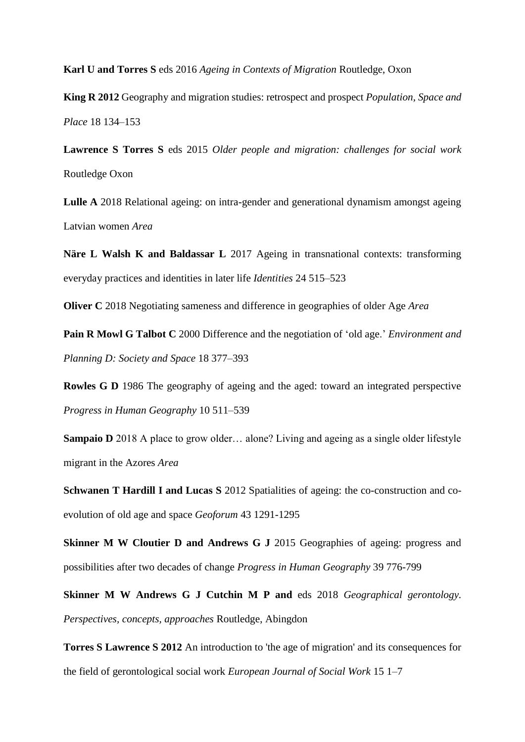**Karl U and Torres S** eds 2016 *Ageing in Contexts of Migration* Routledge, Oxon

**King R 2012** Geography and migration studies: retrospect and prospect *Population, Space and Place* 18 134–153

**Lawrence S Torres S** eds 2015 *Older people and migration: challenges for social work*  Routledge Oxon

**Lulle A** 2018 Relational ageing: on intra-gender and generational dynamism amongst ageing Latvian women *Area*

**Näre L Walsh K and Baldassar L** 2017 Ageing in transnational contexts: transforming everyday practices and identities in later life *Identities* 24 515–523

**Oliver C** 2018 Negotiating sameness and difference in geographies of older Age *Area*

**Pain R Mowl G Talbot C** 2000 Difference and the negotiation of 'old age.' *Environment and Planning D: Society and Space* 18 377–393

**Rowles G D** 1986 The geography of ageing and the aged: toward an integrated perspective *Progress in Human Geography* 10 511–539

**Sampaio D** 2018 A place to grow older... alone? Living and ageing as a single older lifestyle migrant in the Azores *Area*

**Schwanen T Hardill I and Lucas S** 2012 Spatialities of ageing: the co-construction and coevolution of old age and space *Geoforum* 43 1291-1295

**Skinner M W Cloutier D and Andrews G J 2015 Geographies of ageing: progress and** possibilities after two decades of change *Progress in Human Geography* 39 776-799

**Skinner M W Andrews G J Cutchin M P and** eds 2018 *Geographical gerontology. Perspectives, concepts, approaches* Routledge, Abingdon

**Torres S Lawrence S 2012** An introduction to 'the age of migration' and its consequences for the field of gerontological social work *European Journal of Social Work* 15 1–7